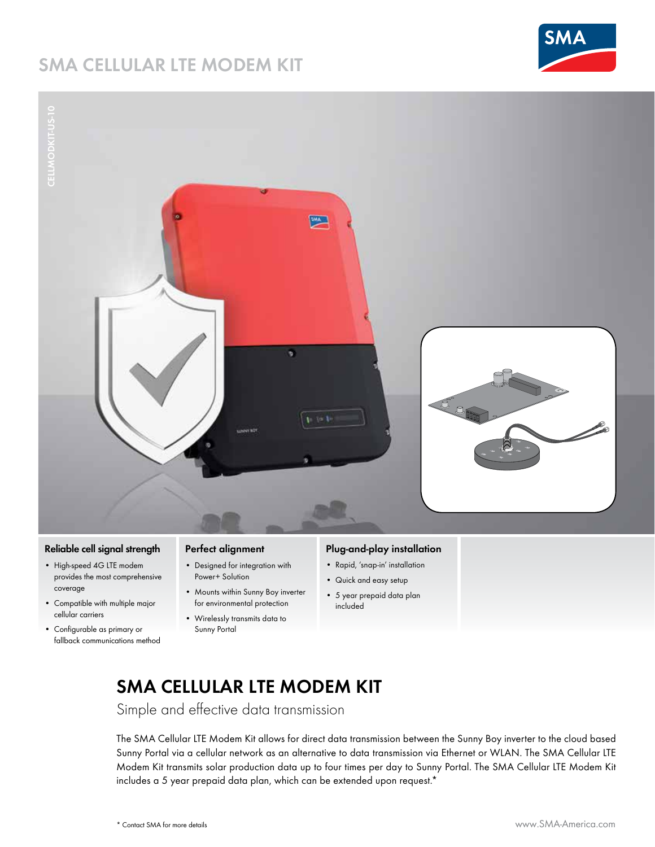# **SMA Cellular LTE Modem Kit**





# **Reliable cell signal strength**

- • High-speed 4G LTE modem provides the most comprehensive coverage
- • Compatible with multiple major cellular carriers
- • Configurable as primary or fallback communications method

## **Perfect alignment**

- • Designed for integration with Power+ Solution
- • Mounts within Sunny Boy inverter for environmental protection
- • Wirelessly transmits data to Sunny Portal

## **Plug-and-play installation**

- • Rapid, 'snap-in' installation
- • Quick and easy setup
- • 5 year prepaid data plan included

# **SMA Cellular LTE Modem Kit**

Simple and effective data transmission

The SMA Cellular LTE Modem Kit allows for direct data transmission between the Sunny Boy inverter to the cloud based Sunny Portal via a cellular network as an alternative to data transmission via Ethernet or WLAN. The SMA Cellular LTE Modem Kit transmits solar production data up to four times per day to Sunny Portal. The SMA Cellular LTE Modem Kit includes a 5 year prepaid data plan, which can be extended upon request.\*